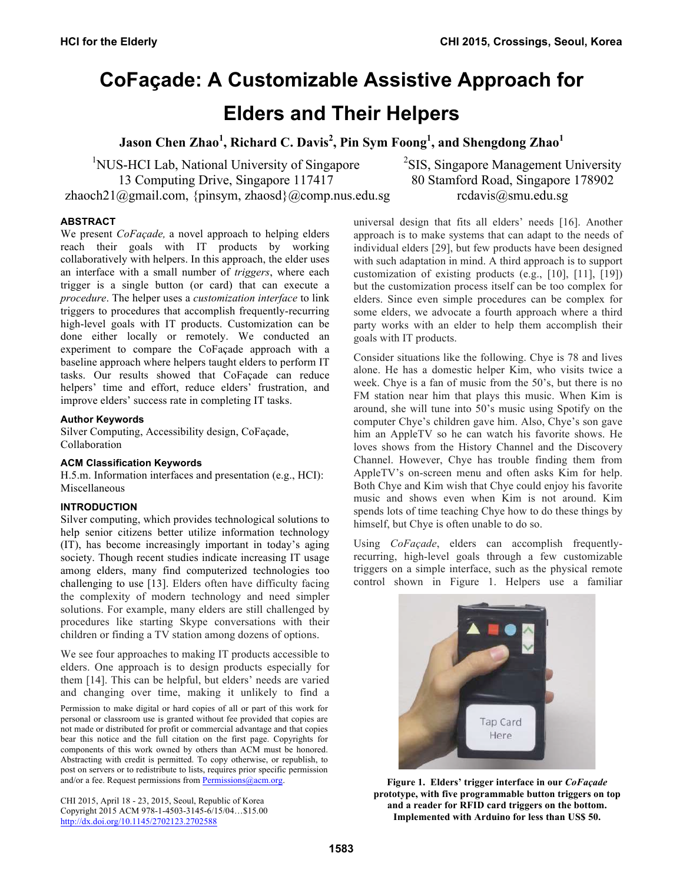# **CoFaçade: A Customizable Assistive Approach for**

## **Elders and Their Helpers**

**Jason Chen Zhao<sup>1</sup> , Richard C. Davis<sup>2</sup> , Pin Sym Foong1 , and Shengdong Zhao<sup>1</sup>**

<sup>1</sup>NUS-HCI Lab, National University of Singapore 13 Computing Drive, Singapore 117417 zhaoch21@gmail.com, {pinsym, zhaosd}@comp.nus.edu.sg <sup>2</sup>SIS, Singapore Management University 80 Stamford Road, Singapore 178902 rcdavis@smu.edu.sg

## **ABSTRACT**

We present *CoFaçade,* a novel approach to helping elders reach their goals with IT products by working collaboratively with helpers. In this approach, the elder uses an interface with a small number of *triggers*, where each trigger is a single button (or card) that can execute a *procedure*. The helper uses a *customization interface* to link triggers to procedures that accomplish frequently-recurring high-level goals with IT products. Customization can be done either locally or remotely. We conducted an experiment to compare the CoFaçade approach with a baseline approach where helpers taught elders to perform IT tasks. Our results showed that CoFaçade can reduce helpers' time and effort, reduce elders' frustration, and improve elders' success rate in completing IT tasks.

## **Author Keywords**

Silver Computing, Accessibility design, CoFaçade, Collaboration

## **ACM Classification Keywords**

H.5.m. Information interfaces and presentation (e.g., HCI): Miscellaneous

## **INTRODUCTION**

Silver computing, which provides technological solutions to help senior citizens better utilize information technology (IT), has become increasingly important in today's aging society. Though recent studies indicate increasing IT usage among elders, many find computerized technologies too challenging to use [13]. Elders often have difficulty facing the complexity of modern technology and need simpler solutions. For example, many elders are still challenged by procedures like starting Skype conversations with their children or finding a TV station among dozens of options.

We see four approaches to making IT products accessible to elders. One approach is to design products especially for them [14]. This can be helpful, but elders' needs are varied and changing over time, making it unlikely to find a

Permission to make digital or hard copies of all or part of this work for personal or classroom use is granted without fee provided that copies are not made or distributed for profit or commercial advantage and that copies bear this notice and the full citation on the first page. Copyrights for components of this work owned by others than ACM must be honored. Abstracting with credit is permitted. To copy otherwise, or republish, to post on servers or to redistribute to lists, requires prior specific permission and/or a fee. Request permissions from Permissions@acm.org.

CHI 2015, April 18 - 23, 2015, Seoul, Republic of Korea Copyright 2015 ACM 978-1-4503-3145-6/15/04…\$15.00 http://dx.doi.org/10.1145/2702123.2702588

universal design that fits all elders' needs [16]. Another approach is to make systems that can adapt to the needs of individual elders [29], but few products have been designed with such adaptation in mind. A third approach is to support customization of existing products (e.g., [10], [11], [19]) but the customization process itself can be too complex for elders. Since even simple procedures can be complex for some elders, we advocate a fourth approach where a third party works with an elder to help them accomplish their goals with IT products.

Consider situations like the following. Chye is 78 and lives alone. He has a domestic helper Kim, who visits twice a week. Chye is a fan of music from the 50's, but there is no FM station near him that plays this music. When Kim is around, she will tune into 50's music using Spotify on the computer Chye's children gave him. Also, Chye's son gave him an AppleTV so he can watch his favorite shows. He loves shows from the History Channel and the Discovery Channel. However, Chye has trouble finding them from AppleTV's on-screen menu and often asks Kim for help. Both Chye and Kim wish that Chye could enjoy his favorite music and shows even when Kim is not around. Kim spends lots of time teaching Chye how to do these things by himself, but Chye is often unable to do so.

Using *CoFaçade*, elders can accomplish frequentlyrecurring, high-level goals through a few customizable triggers on a simple interface, such as the physical remote control shown in Figure 1. Helpers use a familiar



**Figure 1. Elders' trigger interface in our** *CoFaçade*  **prototype, with five programmable button triggers on top and a reader for RFID card triggers on the bottom. Implemented with Arduino for less than US\$ 50.**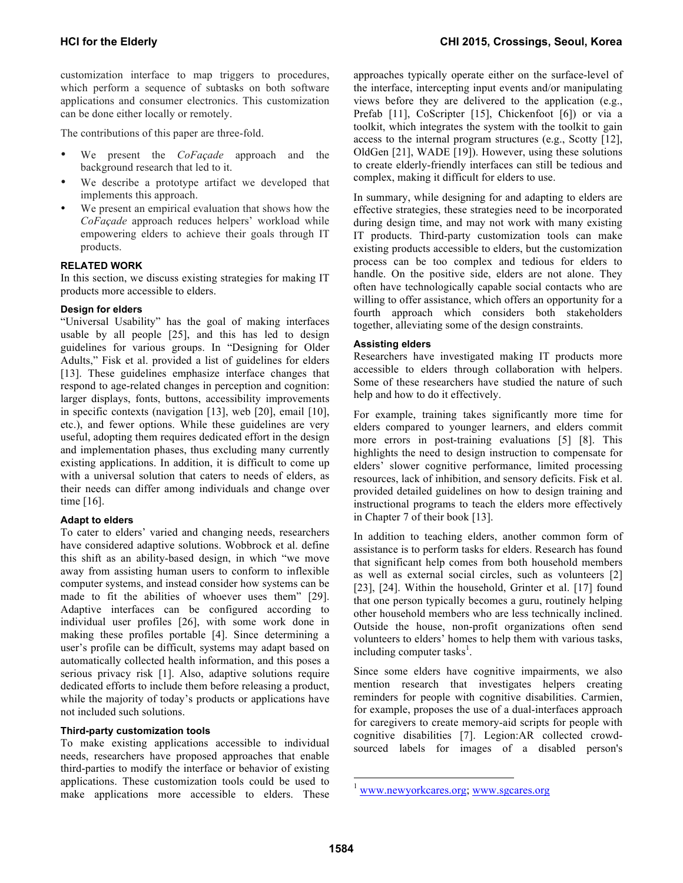customization interface to map triggers to procedures, which perform a sequence of subtasks on both software applications and consumer electronics. This customization can be done either locally or remotely.

The contributions of this paper are three-fold.

- We present the *CoFaçade* approach and the background research that led to it.
- We describe a prototype artifact we developed that implements this approach.
- We present an empirical evaluation that shows how the *CoFaçade* approach reduces helpers' workload while empowering elders to achieve their goals through IT products.

## **RELATED WORK**

In this section, we discuss existing strategies for making IT products more accessible to elders.

#### **Design for elders**

"Universal Usability" has the goal of making interfaces usable by all people [25], and this has led to design guidelines for various groups. In "Designing for Older Adults," Fisk et al. provided a list of guidelines for elders [13]. These guidelines emphasize interface changes that respond to age-related changes in perception and cognition: larger displays, fonts, buttons, accessibility improvements in specific contexts (navigation [13], web [20], email [10], etc.), and fewer options. While these guidelines are very useful, adopting them requires dedicated effort in the design and implementation phases, thus excluding many currently existing applications. In addition, it is difficult to come up with a universal solution that caters to needs of elders, as their needs can differ among individuals and change over time [16].

#### **Adapt to elders**

To cater to elders' varied and changing needs, researchers have considered adaptive solutions. Wobbrock et al. define this shift as an ability-based design, in which "we move away from assisting human users to conform to inflexible computer systems, and instead consider how systems can be made to fit the abilities of whoever uses them" [29]. Adaptive interfaces can be configured according to individual user profiles [26], with some work done in making these profiles portable [4]. Since determining a user's profile can be difficult, systems may adapt based on automatically collected health information, and this poses a serious privacy risk [1]. Also, adaptive solutions require dedicated efforts to include them before releasing a product, while the majority of today's products or applications have not included such solutions.

#### **Third-party customization tools**

To make existing applications accessible to individual needs, researchers have proposed approaches that enable third-parties to modify the interface or behavior of existing applications. These customization tools could be used to make applications more accessible to elders. These

approaches typically operate either on the surface-level of the interface, intercepting input events and/or manipulating views before they are delivered to the application (e.g., Prefab [11], CoScripter [15], Chickenfoot [6]) or via a toolkit, which integrates the system with the toolkit to gain access to the internal program structures (e.g., Scotty [12], OldGen [21], WADE [19]). However, using these solutions to create elderly-friendly interfaces can still be tedious and complex, making it difficult for elders to use.

In summary, while designing for and adapting to elders are effective strategies, these strategies need to be incorporated during design time, and may not work with many existing IT products. Third-party customization tools can make existing products accessible to elders, but the customization process can be too complex and tedious for elders to handle. On the positive side, elders are not alone. They often have technologically capable social contacts who are willing to offer assistance, which offers an opportunity for a fourth approach which considers both stakeholders together, alleviating some of the design constraints.

## **Assisting elders**

Researchers have investigated making IT products more accessible to elders through collaboration with helpers. Some of these researchers have studied the nature of such help and how to do it effectively.

For example, training takes significantly more time for elders compared to younger learners, and elders commit more errors in post-training evaluations [5] [8]. This highlights the need to design instruction to compensate for elders' slower cognitive performance, limited processing resources, lack of inhibition, and sensory deficits. Fisk et al. provided detailed guidelines on how to design training and instructional programs to teach the elders more effectively in Chapter 7 of their book [13].

In addition to teaching elders, another common form of assistance is to perform tasks for elders. Research has found that significant help comes from both household members as well as external social circles, such as volunteers [2] [23], [24]. Within the household, Grinter et al. [17] found that one person typically becomes a guru, routinely helping other household members who are less technically inclined. Outside the house, non-profit organizations often send volunteers to elders' homes to help them with various tasks, including computer tasks<sup>1</sup>.

Since some elders have cognitive impairments, we also mention research that investigates helpers creating reminders for people with cognitive disabilities. Carmien, for example, proposes the use of a dual-interfaces approach for caregivers to create memory-aid scripts for people with cognitive disabilities [7]. Legion:AR collected crowdsourced labels for images of a disabled person's

<sup>&</sup>lt;sup>1</sup> www.newyorkcares.org; www.sgcares.org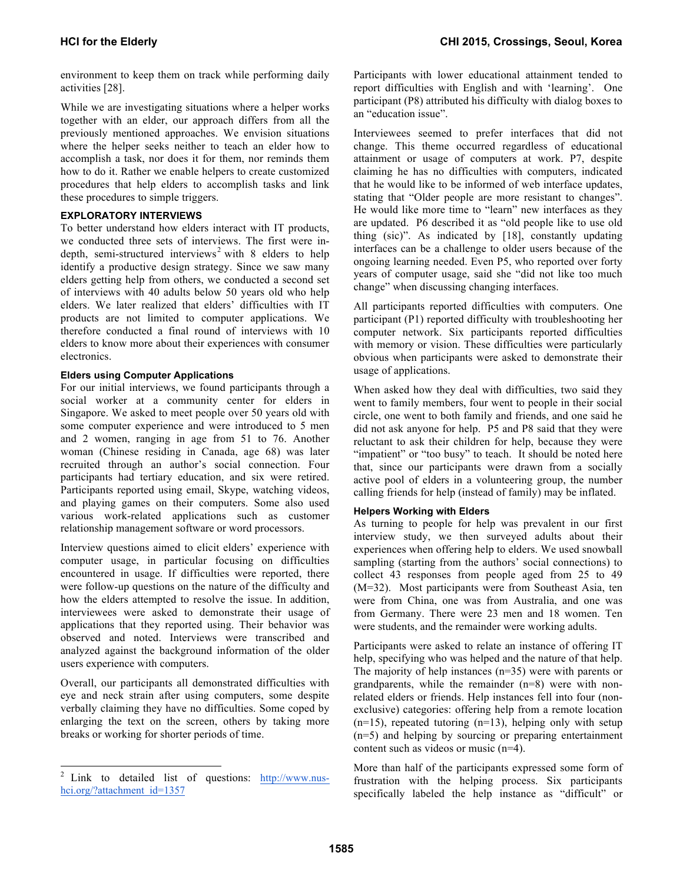environment to keep them on track while performing daily activities [28].

While we are investigating situations where a helper works together with an elder, our approach differs from all the previously mentioned approaches. We envision situations where the helper seeks neither to teach an elder how to accomplish a task, nor does it for them, nor reminds them how to do it. Rather we enable helpers to create customized procedures that help elders to accomplish tasks and link these procedures to simple triggers.

## **EXPLORATORY INTERVIEWS**

To better understand how elders interact with IT products, we conducted three sets of interviews. The first were indepth, semi-structured interviews<sup>2</sup> with 8 elders to help identify a productive design strategy. Since we saw many elders getting help from others, we conducted a second set of interviews with 40 adults below 50 years old who help elders. We later realized that elders' difficulties with IT products are not limited to computer applications. We therefore conducted a final round of interviews with 10 elders to know more about their experiences with consumer electronics.

## **Elders using Computer Applications**

For our initial interviews, we found participants through a social worker at a community center for elders in Singapore. We asked to meet people over 50 years old with some computer experience and were introduced to 5 men and 2 women, ranging in age from 51 to 76. Another woman (Chinese residing in Canada, age 68) was later recruited through an author's social connection. Four participants had tertiary education, and six were retired. Participants reported using email, Skype, watching videos, and playing games on their computers. Some also used various work-related applications such as customer relationship management software or word processors.

Interview questions aimed to elicit elders' experience with computer usage, in particular focusing on difficulties encountered in usage. If difficulties were reported, there were follow-up questions on the nature of the difficulty and how the elders attempted to resolve the issue. In addition, interviewees were asked to demonstrate their usage of applications that they reported using. Their behavior was observed and noted. Interviews were transcribed and analyzed against the background information of the older users experience with computers.

Overall, our participants all demonstrated difficulties with eye and neck strain after using computers, some despite verbally claiming they have no difficulties. Some coped by enlarging the text on the screen, others by taking more breaks or working for shorter periods of time.

Participants with lower educational attainment tended to report difficulties with English and with 'learning'. One participant (P8) attributed his difficulty with dialog boxes to an "education issue".

Interviewees seemed to prefer interfaces that did not change. This theme occurred regardless of educational attainment or usage of computers at work. P7, despite claiming he has no difficulties with computers, indicated that he would like to be informed of web interface updates, stating that "Older people are more resistant to changes". He would like more time to "learn" new interfaces as they are updated. P6 described it as "old people like to use old thing (sic)". As indicated by [18], constantly updating interfaces can be a challenge to older users because of the ongoing learning needed. Even P5, who reported over forty years of computer usage, said she "did not like too much change" when discussing changing interfaces.

All participants reported difficulties with computers. One participant (P1) reported difficulty with troubleshooting her computer network. Six participants reported difficulties with memory or vision. These difficulties were particularly obvious when participants were asked to demonstrate their usage of applications.

When asked how they deal with difficulties, two said they went to family members, four went to people in their social circle, one went to both family and friends, and one said he did not ask anyone for help. P5 and P8 said that they were reluctant to ask their children for help, because they were "impatient" or "too busy" to teach. It should be noted here that, since our participants were drawn from a socially active pool of elders in a volunteering group, the number calling friends for help (instead of family) may be inflated.

### **Helpers Working with Elders**

As turning to people for help was prevalent in our first interview study, we then surveyed adults about their experiences when offering help to elders. We used snowball sampling (starting from the authors' social connections) to collect 43 responses from people aged from 25 to 49 (M=32). Most participants were from Southeast Asia, ten were from China, one was from Australia, and one was from Germany. There were 23 men and 18 women. Ten were students, and the remainder were working adults.

Participants were asked to relate an instance of offering IT help, specifying who was helped and the nature of that help. The majority of help instances (n=35) were with parents or grandparents, while the remainder (n=8) were with nonrelated elders or friends. Help instances fell into four (nonexclusive) categories: offering help from a remote location  $(n=15)$ , repeated tutoring  $(n=13)$ , helping only with setup (n=5) and helping by sourcing or preparing entertainment content such as videos or music (n=4).

More than half of the participants expressed some form of frustration with the helping process. Six participants specifically labeled the help instance as "difficult" or

 $2$  Link to detailed list of questions:  $\frac{http://www.nus-1}{http://www.nus-1}$ hci.org/?attachment\_id=1357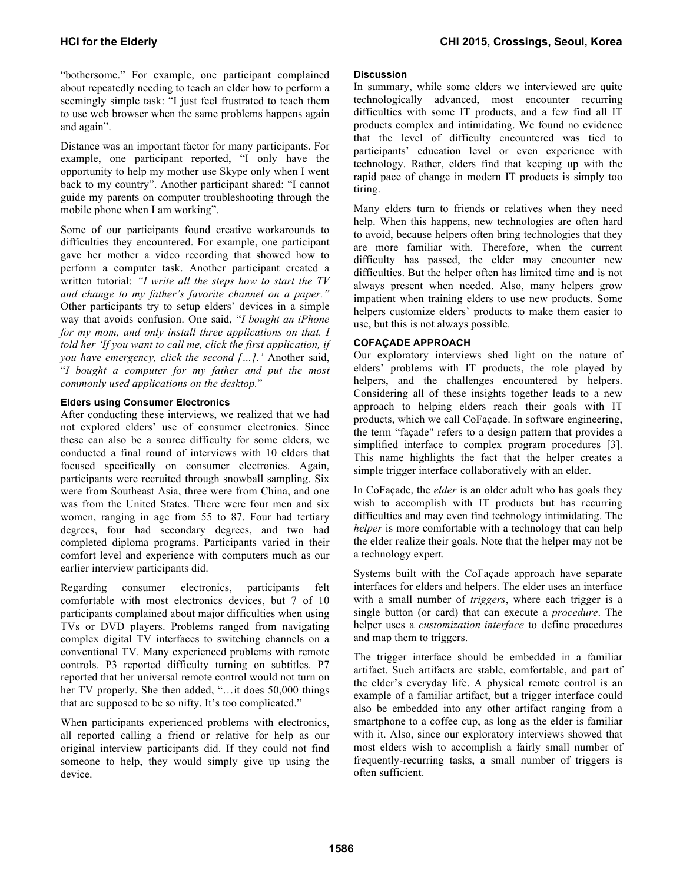"bothersome." For example, one participant complained about repeatedly needing to teach an elder how to perform a seemingly simple task: "I just feel frustrated to teach them to use web browser when the same problems happens again and again".

Distance was an important factor for many participants. For example, one participant reported, "I only have the opportunity to help my mother use Skype only when I went back to my country". Another participant shared: "I cannot guide my parents on computer troubleshooting through the mobile phone when I am working".

Some of our participants found creative workarounds to difficulties they encountered. For example, one participant gave her mother a video recording that showed how to perform a computer task. Another participant created a written tutorial: *"I write all the steps how to start the TV and change to my father's favorite channel on a paper."* Other participants try to setup elders' devices in a simple way that avoids confusion. One said, "*I bought an iPhone for my mom, and only install three applications on that. I told her 'If you want to call me, click the first application, if you have emergency, click the second […].'* Another said, "*I bought a computer for my father and put the most commonly used applications on the desktop.*"

## **Elders using Consumer Electronics**

After conducting these interviews, we realized that we had not explored elders' use of consumer electronics. Since these can also be a source difficulty for some elders, we conducted a final round of interviews with 10 elders that focused specifically on consumer electronics. Again, participants were recruited through snowball sampling. Six were from Southeast Asia, three were from China, and one was from the United States. There were four men and six women, ranging in age from 55 to 87. Four had tertiary degrees, four had secondary degrees, and two had completed diploma programs. Participants varied in their comfort level and experience with computers much as our earlier interview participants did.

Regarding consumer electronics, participants felt comfortable with most electronics devices, but 7 of 10 participants complained about major difficulties when using TVs or DVD players. Problems ranged from navigating complex digital TV interfaces to switching channels on a conventional TV. Many experienced problems with remote controls. P3 reported difficulty turning on subtitles. P7 reported that her universal remote control would not turn on her TV properly. She then added, "...it does 50,000 things that are supposed to be so nifty. It's too complicated."

When participants experienced problems with electronics, all reported calling a friend or relative for help as our original interview participants did. If they could not find someone to help, they would simply give up using the device.

#### **Discussion**

In summary, while some elders we interviewed are quite technologically advanced, most encounter recurring difficulties with some IT products, and a few find all IT products complex and intimidating. We found no evidence that the level of difficulty encountered was tied to participants' education level or even experience with technology. Rather, elders find that keeping up with the rapid pace of change in modern IT products is simply too tiring.

Many elders turn to friends or relatives when they need help. When this happens, new technologies are often hard to avoid, because helpers often bring technologies that they are more familiar with. Therefore, when the current difficulty has passed, the elder may encounter new difficulties. But the helper often has limited time and is not always present when needed. Also, many helpers grow impatient when training elders to use new products. Some helpers customize elders' products to make them easier to use, but this is not always possible.

## **COFAÇADE APPROACH**

Our exploratory interviews shed light on the nature of elders' problems with IT products, the role played by helpers, and the challenges encountered by helpers. Considering all of these insights together leads to a new approach to helping elders reach their goals with IT products, which we call CoFaçade. In software engineering, the term "façade" refers to a design pattern that provides a simplified interface to complex program procedures [3]. This name highlights the fact that the helper creates a simple trigger interface collaboratively with an elder.

In CoFaçade, the *elder* is an older adult who has goals they wish to accomplish with IT products but has recurring difficulties and may even find technology intimidating. The *helper* is more comfortable with a technology that can help the elder realize their goals. Note that the helper may not be a technology expert.

Systems built with the CoFaçade approach have separate interfaces for elders and helpers. The elder uses an interface with a small number of *triggers*, where each trigger is a single button (or card) that can execute a *procedure*. The helper uses a *customization interface* to define procedures and map them to triggers.

The trigger interface should be embedded in a familiar artifact. Such artifacts are stable, comfortable, and part of the elder's everyday life. A physical remote control is an example of a familiar artifact, but a trigger interface could also be embedded into any other artifact ranging from a smartphone to a coffee cup, as long as the elder is familiar with it. Also, since our exploratory interviews showed that most elders wish to accomplish a fairly small number of frequently-recurring tasks, a small number of triggers is often sufficient.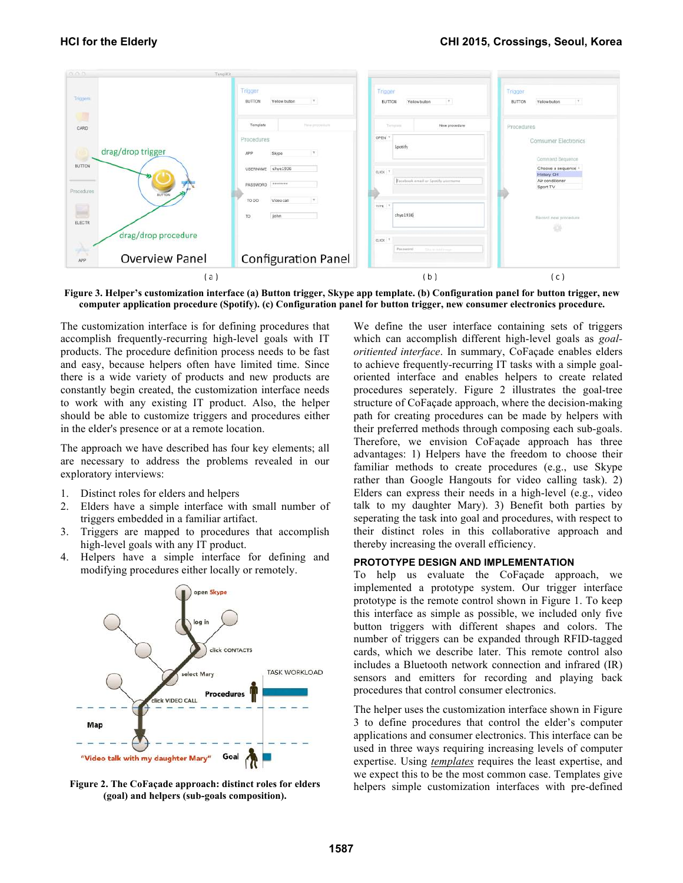| 000                                | Tangikit                                                                                                   |                                     |                                                              |  |
|------------------------------------|------------------------------------------------------------------------------------------------------------|-------------------------------------|--------------------------------------------------------------|--|
| Triggers                           | Trigger<br>Trigger<br>$\tau$<br>BUTTON<br>Yellow button<br>Yellow button<br>$\mathcal{F}$<br><b>BUTTON</b> |                                     | Trigger<br>$\tau$<br><b>BUTTON</b><br>Yellow button          |  |
| <b>A</b><br>CARD                   | Template<br>New procedure                                                                                  | Terratores<br>New procedure         | Procedures                                                   |  |
| drag/drop trigger                  | Procedures<br>$\mathcal{R}$<br>APP<br>Skype                                                                | OPEN <sup>T</sup><br>Spotify        | Comsumer Electronics                                         |  |
| BUTTON                             | USERNAME chye1936                                                                                          | CLICK ?                             | Command Sequence<br>Choose a sequence 4<br><b>History CH</b> |  |
| Procedures<br>BUTTON               | ********<br>PASSWORD<br>Video call<br>$\tau$                                                               | Facebook email or Spotify assrname  | Air conditioner<br>Sport TV                                  |  |
| ELECTR                             | TO DO<br>john<br>TO.                                                                                       | TYPE<br>chye1936                    | Record new procedure                                         |  |
| drag/drop procedure                |                                                                                                            | aux *<br>Password<br>CAA M.AAL Home | 雞                                                            |  |
| p.<br><b>Overview Panel</b><br>APP | <b>Configuration Panel</b>                                                                                 |                                     |                                                              |  |
| a                                  |                                                                                                            | b                                   | C                                                            |  |

**Figure 3. Helper's customization interface (a) Button trigger, Skype app template. (b) Configuration panel for button trigger, new computer application procedure (Spotify). (c) Configuration panel for button trigger, new consumer electronics procedure.**

The customization interface is for defining procedures that accomplish frequently-recurring high-level goals with IT products. The procedure definition process needs to be fast and easy, because helpers often have limited time. Since there is a wide variety of products and new products are constantly begin created, the customization interface needs to work with any existing IT product. Also, the helper should be able to customize triggers and procedures either in the elder's presence or at a remote location.

The approach we have described has four key elements; all are necessary to address the problems revealed in our exploratory interviews:

- 1. Distinct roles for elders and helpers
- 2. Elders have a simple interface with small number of triggers embedded in a familiar artifact.
- 3. Triggers are mapped to procedures that accomplish high-level goals with any IT product.
- 4. Helpers have a simple interface for defining and modifying procedures either locally or remotely.



**Figure 2. The CoFaçade approach: distinct roles for elders (goal) and helpers (sub-goals composition).**

We define the user interface containing sets of triggers which can accomplish different high-level goals as *goaloritiented interface*. In summary, CoFaçade enables elders to achieve frequently-recurring IT tasks with a simple goaloriented interface and enables helpers to create related procedures seperately. Figure 2 illustrates the goal-tree structure of CoFaçade approach, where the decision-making path for creating procedures can be made by helpers with their preferred methods through composing each sub-goals. Therefore, we envision CoFaçade approach has three advantages: 1) Helpers have the freedom to choose their familiar methods to create procedures (e.g., use Skype rather than Google Hangouts for video calling task). 2) Elders can express their needs in a high-level (e.g., video talk to my daughter Mary). 3) Benefit both parties by seperating the task into goal and procedures, with respect to their distinct roles in this collaborative approach and thereby increasing the overall efficiency.

#### **PROTOTYPE DESIGN AND IMPLEMENTATION**

To help us evaluate the CoFaçade approach, we implemented a prototype system. Our trigger interface prototype is the remote control shown in Figure 1. To keep this interface as simple as possible, we included only five button triggers with different shapes and colors. The number of triggers can be expanded through RFID-tagged cards, which we describe later. This remote control also includes a Bluetooth network connection and infrared (IR) sensors and emitters for recording and playing back procedures that control consumer electronics.

The helper uses the customization interface shown in Figure 3 to define procedures that control the elder's computer applications and consumer electronics. This interface can be used in three ways requiring increasing levels of computer expertise. Using *templates* requires the least expertise, and we expect this to be the most common case. Templates give helpers simple customization interfaces with pre-defined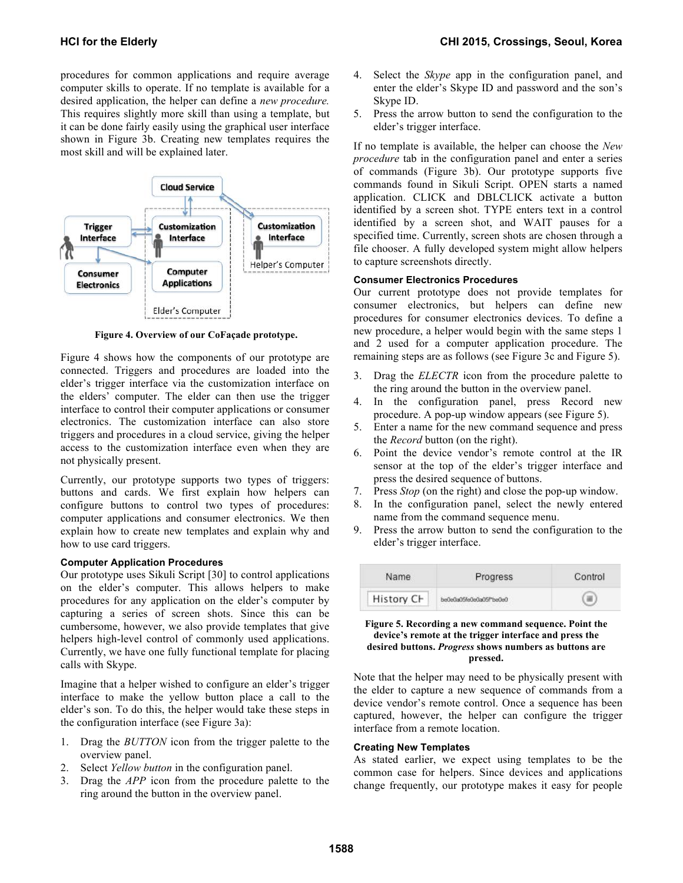procedures for common applications and require average computer skills to operate. If no template is available for a desired application, the helper can define a *new procedure.* This requires slightly more skill than using a template, but it can be done fairly easily using the graphical user interface shown in Figure 3b. Creating new templates requires the most skill and will be explained later.



**Figure 4. Overview of our CoFaçade prototype.**

Figure 4 shows how the components of our prototype are connected. Triggers and procedures are loaded into the elder's trigger interface via the customization interface on the elders' computer. The elder can then use the trigger interface to control their computer applications or consumer electronics. The customization interface can also store triggers and procedures in a cloud service, giving the helper access to the customization interface even when they are not physically present.

Currently, our prototype supports two types of triggers: buttons and cards. We first explain how helpers can configure buttons to control two types of procedures: computer applications and consumer electronics. We then explain how to create new templates and explain why and how to use card triggers.

#### **Computer Application Procedures**

Our prototype uses Sikuli Script [30] to control applications on the elder's computer. This allows helpers to make procedures for any application on the elder's computer by capturing a series of screen shots. Since this can be cumbersome, however, we also provide templates that give helpers high-level control of commonly used applications. Currently, we have one fully functional template for placing calls with Skype.

Imagine that a helper wished to configure an elder's trigger interface to make the yellow button place a call to the elder's son. To do this, the helper would take these steps in the configuration interface (see Figure 3a):

- 1. Drag the *BUTTON* icon from the trigger palette to the overview panel.
- 2. Select *Yellow button* in the configuration panel.
- 3. Drag the *APP* icon from the procedure palette to the ring around the button in the overview panel.
- 4. Select the *Skype* app in the configuration panel, and enter the elder's Skype ID and password and the son's Skype ID.
- 5. Press the arrow button to send the configuration to the elder's trigger interface.

If no template is available, the helper can choose the *New procedure* tab in the configuration panel and enter a series of commands (Figure 3b). Our prototype supports five commands found in Sikuli Script. OPEN starts a named application. CLICK and DBLCLICK activate a button identified by a screen shot. TYPE enters text in a control identified by a screen shot, and WAIT pauses for a specified time. Currently, screen shots are chosen through a file chooser. A fully developed system might allow helpers to capture screenshots directly.

#### **Consumer Electronics Procedures**

Our current prototype does not provide templates for consumer electronics, but helpers can define new procedures for consumer electronics devices. To define a new procedure, a helper would begin with the same steps 1 and 2 used for a computer application procedure. The remaining steps are as follows (see Figure 3c and Figure 5).

- 3. Drag the *ELECTR* icon from the procedure palette to the ring around the button in the overview panel.
- 4. In the configuration panel, press Record new procedure. A pop-up window appears (see Figure 5).
- 5. Enter a name for the new command sequence and press the *Record* button (on the right).
- 6. Point the device vendor's remote control at the IR sensor at the top of the elder's trigger interface and press the desired sequence of buttons.
- 7. Press *Stop* (on the right) and close the pop-up window.
- 8. In the configuration panel, select the newly entered name from the command sequence menu.
- 9. Press the arrow button to send the configuration to the elder's trigger interface.

| Name       | Progress              | Control |
|------------|-----------------------|---------|
| History CH | 0e0e039560e0a05fbe0e0 |         |

#### **Figure 5. Recording a new command sequence. Point the device's remote at the trigger interface and press the desired buttons.** *Progress* **shows numbers as buttons are pressed.**

Note that the helper may need to be physically present with the elder to capture a new sequence of commands from a device vendor's remote control. Once a sequence has been captured, however, the helper can configure the trigger interface from a remote location.

#### **Creating New Templates**

As stated earlier, we expect using templates to be the common case for helpers. Since devices and applications change frequently, our prototype makes it easy for people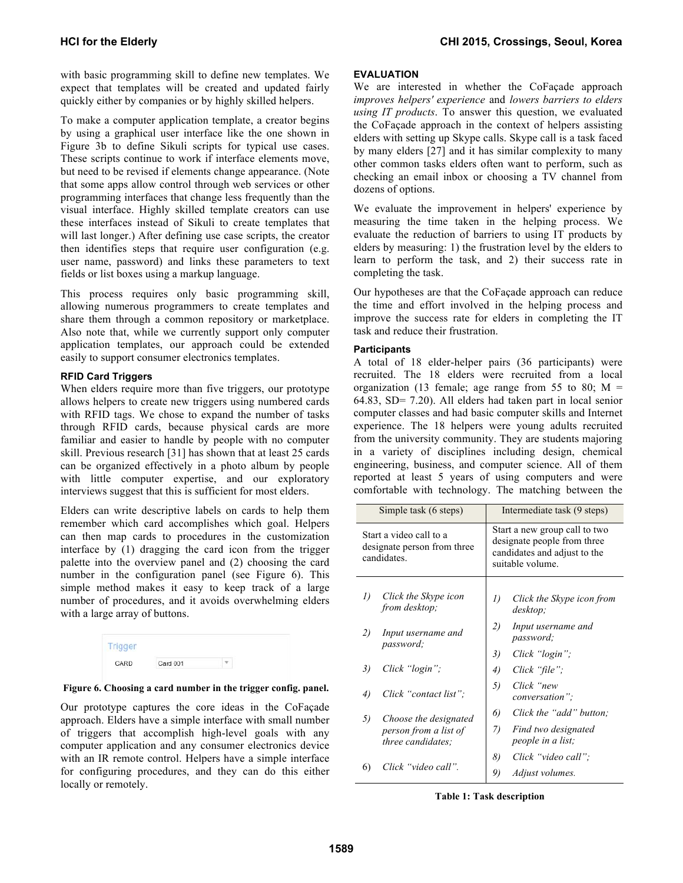with basic programming skill to define new templates. We expect that templates will be created and updated fairly quickly either by companies or by highly skilled helpers.

To make a computer application template, a creator begins by using a graphical user interface like the one shown in Figure 3b to define Sikuli scripts for typical use cases. These scripts continue to work if interface elements move, but need to be revised if elements change appearance. (Note that some apps allow control through web services or other programming interfaces that change less frequently than the visual interface. Highly skilled template creators can use these interfaces instead of Sikuli to create templates that will last longer.) After defining use case scripts, the creator then identifies steps that require user configuration (e.g. user name, password) and links these parameters to text fields or list boxes using a markup language.

This process requires only basic programming skill, allowing numerous programmers to create templates and share them through a common repository or marketplace. Also note that, while we currently support only computer application templates, our approach could be extended easily to support consumer electronics templates.

## **RFID Card Triggers**

When elders require more than five triggers, our prototype allows helpers to create new triggers using numbered cards with RFID tags. We chose to expand the number of tasks through RFID cards, because physical cards are more familiar and easier to handle by people with no computer skill. Previous research [31] has shown that at least 25 cards can be organized effectively in a photo album by people with little computer expertise, and our exploratory interviews suggest that this is sufficient for most elders.

Elders can write descriptive labels on cards to help them remember which card accomplishes which goal. Helpers can then map cards to procedures in the customization interface by (1) dragging the card icon from the trigger palette into the overview panel and (2) choosing the card number in the configuration panel (see Figure 6). This simple method makes it easy to keep track of a large number of procedures, and it avoids overwhelming elders with a large array of buttons.

| ı              |                                                 |  |
|----------------|-------------------------------------------------|--|
| CARD<br>------ | Card 001<br>and the property of the property of |  |

#### **Figure 6. Choosing a card number in the trigger config. panel.**

Our prototype captures the core ideas in the CoFaçade approach. Elders have a simple interface with small number of triggers that accomplish high-level goals with any computer application and any consumer electronics device with an IR remote control. Helpers have a simple interface for configuring procedures, and they can do this either locally or remotely.

#### **EVALUATION**

We are interested in whether the CoFaçade approach *improves helpers' experience* and *lowers barriers to elders using IT products*. To answer this question, we evaluated the CoFaçade approach in the context of helpers assisting elders with setting up Skype calls. Skype call is a task faced by many elders [27] and it has similar complexity to many other common tasks elders often want to perform, such as checking an email inbox or choosing a TV channel from dozens of options.

We evaluate the improvement in helpers' experience by measuring the time taken in the helping process. We evaluate the reduction of barriers to using IT products by elders by measuring: 1) the frustration level by the elders to learn to perform the task, and 2) their success rate in completing the task.

Our hypotheses are that the CoFaçade approach can reduce the time and effort involved in the helping process and improve the success rate for elders in completing the IT task and reduce their frustration.

#### **Participants**

A total of 18 elder-helper pairs (36 participants) were recruited. The 18 elders were recruited from a local organization (13 female; age range from 55 to 80;  $M =$ 64.83, SD= 7.20). All elders had taken part in local senior computer classes and had basic computer skills and Internet experience. The 18 helpers were young adults recruited from the university community. They are students majoring in a variety of disciplines including design, chemical engineering, business, and computer science. All of them reported at least 5 years of using computers and were comfortable with technology. The matching between the

| Simple task (6 steps)                                                 |                                            | Intermediate task (9 steps)                                                                                      |                                          |  |  |
|-----------------------------------------------------------------------|--------------------------------------------|------------------------------------------------------------------------------------------------------------------|------------------------------------------|--|--|
| Start a video call to a<br>designate person from three<br>candidates. |                                            | Start a new group call to two<br>designate people from three<br>candidates and adjust to the<br>suitable volume. |                                          |  |  |
| I)                                                                    | Click the Skype icon<br>from desktop;      | I)                                                                                                               | Click the Skype icon from<br>desktop:    |  |  |
| 2)                                                                    | Input username and<br><i>password</i> ;    | 2)                                                                                                               | Input username and<br><i>password</i> ;  |  |  |
|                                                                       |                                            | 3)                                                                                                               | Click "login";                           |  |  |
| 3)                                                                    | Click "login";                             | 4)                                                                                                               | Click "file";                            |  |  |
| 4)                                                                    | Click "contact list":                      | 5)                                                                                                               | Click "new<br>conversation":             |  |  |
| 5)                                                                    | Choose the designated                      | 6)                                                                                                               | Click the "add" button;                  |  |  |
|                                                                       | person from a list of<br>three candidates: | 7)                                                                                                               | Find two designated<br>people in a list; |  |  |
| 6)                                                                    | Click "video call".                        | 8)                                                                                                               | Click "video call":                      |  |  |
|                                                                       |                                            | 9)                                                                                                               | Adjust volumes.                          |  |  |

**Table 1: Task description**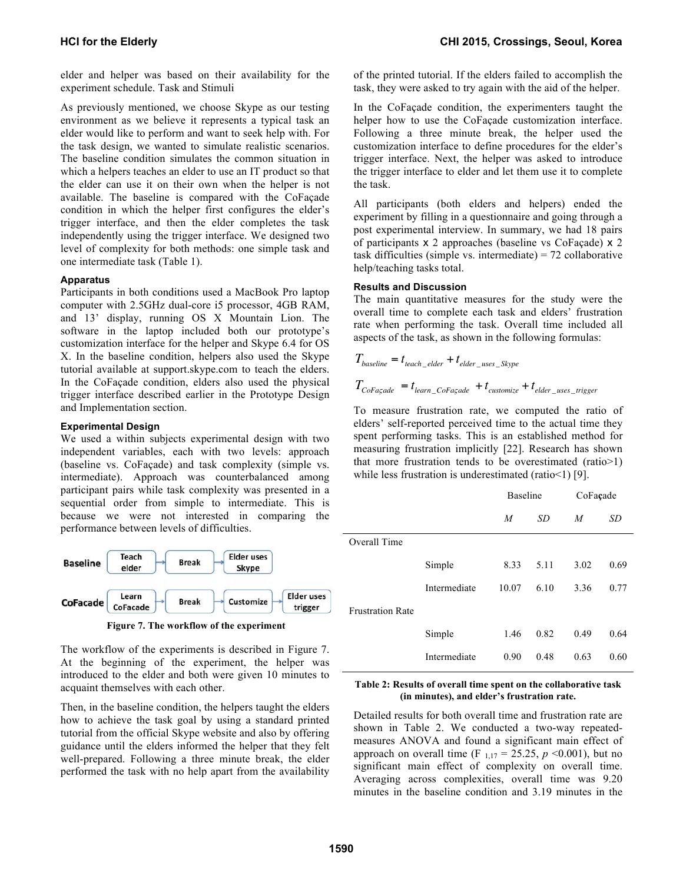elder and helper was based on their availability for the experiment schedule. Task and Stimuli

As previously mentioned, we choose Skype as our testing environment as we believe it represents a typical task an elder would like to perform and want to seek help with. For the task design, we wanted to simulate realistic scenarios. The baseline condition simulates the common situation in which a helpers teaches an elder to use an IT product so that the elder can use it on their own when the helper is not available. The baseline is compared with the CoFaçade condition in which the helper first configures the elder's trigger interface, and then the elder completes the task independently using the trigger interface. We designed two level of complexity for both methods: one simple task and one intermediate task (Table 1).

#### **Apparatus**

Participants in both conditions used a MacBook Pro laptop computer with 2.5GHz dual-core i5 processor, 4GB RAM, and 13' display, running OS X Mountain Lion. The software in the laptop included both our prototype's customization interface for the helper and Skype 6.4 for OS X. In the baseline condition, helpers also used the Skype tutorial available at support.skype.com to teach the elders. In the CoFaçade condition, elders also used the physical trigger interface described earlier in the Prototype Design and Implementation section.

#### **Experimental Design**

We used a within subjects experimental design with two independent variables, each with two levels: approach (baseline vs. CoFaçade) and task complexity (simple vs. intermediate). Approach was counterbalanced among participant pairs while task complexity was presented in a sequential order from simple to intermediate. This is because we were not interested in comparing the performance between levels of difficulties.



**Figure 7. The workflow of the experiment**

The workflow of the experiments is described in Figure 7. At the beginning of the experiment, the helper was introduced to the elder and both were given 10 minutes to acquaint themselves with each other.

Then, in the baseline condition, the helpers taught the elders how to achieve the task goal by using a standard printed tutorial from the official Skype website and also by offering guidance until the elders informed the helper that they felt well-prepared. Following a three minute break, the elder performed the task with no help apart from the availability

of the printed tutorial. If the elders failed to accomplish the task, they were asked to try again with the aid of the helper.

In the CoFaçade condition, the experimenters taught the helper how to use the CoFaçade customization interface. Following a three minute break, the helper used the customization interface to define procedures for the elder's trigger interface. Next, the helper was asked to introduce the trigger interface to elder and let them use it to complete the task.

All participants (both elders and helpers) ended the experiment by filling in a questionnaire and going through a post experimental interview. In summary, we had 18 pairs of participants x 2 approaches (baseline vs CoFaçade) x 2 task difficulties (simple vs. intermediate) =  $72$  collaborative help/teaching tasks total.

#### **Results and Discussion**

The main quantitative measures for the study were the overall time to complete each task and elders' frustration rate when performing the task. Overall time included all aspects of the task, as shown in the following formulas:

$$
T_{baseline} = t_{teach\_elder} + t_{elder\_uses\_Skype}
$$
  
\n
$$
T_{CoFagade} = t_{learn\_CoFagade} + t_{customize} + t_{elder\_uses\_trigger}
$$

To measure frustration rate, we computed the ratio of elders' self-reported perceived time to the actual time they spent performing tasks. This is an established method for measuring frustration implicitly [22]. Research has shown that more frustration tends to be overestimated (ratio>1) while less frustration is underestimated (ratio  $< 1$ ) [9].

|                         |              | <b>Baseline</b> |           | CoFaçade |      |
|-------------------------|--------------|-----------------|-----------|----------|------|
|                         |              | M               | <b>SD</b> | M        | SD   |
| Overall Time            |              |                 |           |          |      |
|                         | Simple       | 8.33            | 5.11      | 3.02     | 0.69 |
|                         | Intermediate | 10.07           | 6.10      | 3.36     | 0.77 |
| <b>Frustration Rate</b> |              |                 |           |          |      |
|                         | Simple       | 1.46            | 0.82      | 0.49     | 0.64 |
|                         | Intermediate | 0.90            | 0.48      | 0.63     | 0.60 |

#### **Table 2: Results of overall time spent on the collaborative task (in minutes), and elder's frustration rate.**

Detailed results for both overall time and frustration rate are shown in Table 2. We conducted a two-way repeatedmeasures ANOVA and found a significant main effect of approach on overall time (F<sub>1,17</sub> = 25.25,  $p$  <0.001), but no significant main effect of complexity on overall time. Averaging across complexities, overall time was 9.20 minutes in the baseline condition and 3.19 minutes in the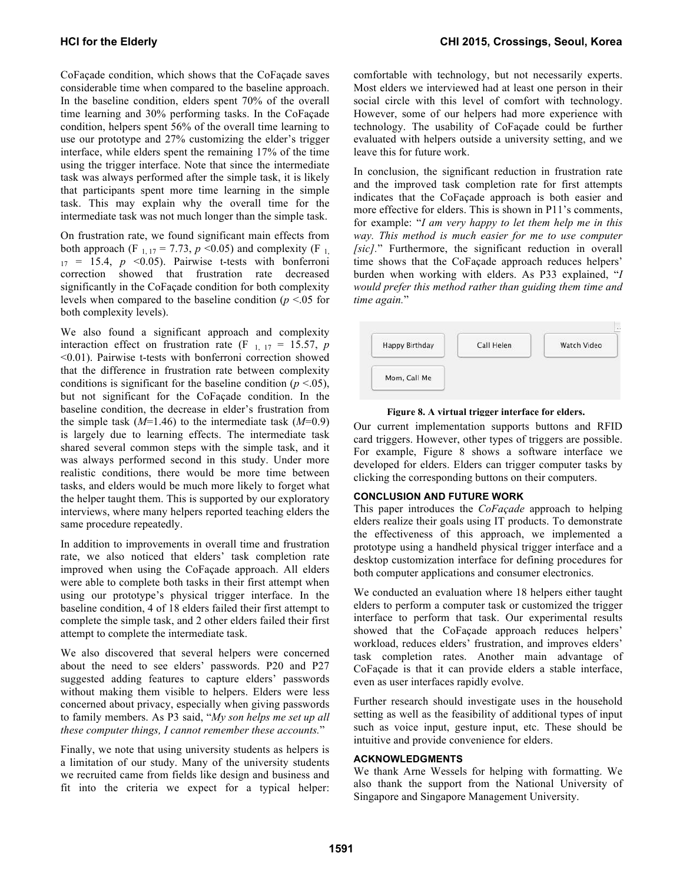CoFaçade condition, which shows that the CoFaçade saves considerable time when compared to the baseline approach. In the baseline condition, elders spent 70% of the overall time learning and 30% performing tasks. In the CoFaçade condition, helpers spent 56% of the overall time learning to use our prototype and 27% customizing the elder's trigger interface, while elders spent the remaining 17% of the time using the trigger interface. Note that since the intermediate task was always performed after the simple task, it is likely that participants spent more time learning in the simple task. This may explain why the overall time for the intermediate task was not much longer than the simple task.

On frustration rate, we found significant main effects from both approach (F<sub>1, 17</sub> = 7.73,  $p \le 0.05$ ) and complexity (F<sub>1,</sub>  $17 = 15.4$ ,  $p \le 0.05$ ). Pairwise t-tests with bonferroni correction showed that frustration rate decreased significantly in the CoFaçade condition for both complexity levels when compared to the baseline condition ( $p < 0.05$  for both complexity levels).

We also found a significant approach and complexity interaction effect on frustration rate (F  $_{1, 17} = 15.57, p$ <0.01). Pairwise t-tests with bonferroni correction showed that the difference in frustration rate between complexity conditions is significant for the baseline condition  $(p < 0.05)$ , but not significant for the CoFaçade condition. In the baseline condition, the decrease in elder's frustration from the simple task  $(M=1.46)$  to the intermediate task  $(M=0.9)$ is largely due to learning effects. The intermediate task shared several common steps with the simple task, and it was always performed second in this study. Under more realistic conditions, there would be more time between tasks, and elders would be much more likely to forget what the helper taught them. This is supported by our exploratory interviews, where many helpers reported teaching elders the same procedure repeatedly.

In addition to improvements in overall time and frustration rate, we also noticed that elders' task completion rate improved when using the CoFaçade approach. All elders were able to complete both tasks in their first attempt when using our prototype's physical trigger interface. In the baseline condition, 4 of 18 elders failed their first attempt to complete the simple task, and 2 other elders failed their first attempt to complete the intermediate task.

We also discovered that several helpers were concerned about the need to see elders' passwords. P20 and P27 suggested adding features to capture elders' passwords without making them visible to helpers. Elders were less concerned about privacy, especially when giving passwords to family members. As P3 said, "*My son helps me set up all these computer things, I cannot remember these accounts.*"

Finally, we note that using university students as helpers is a limitation of our study. Many of the university students we recruited came from fields like design and business and fit into the criteria we expect for a typical helper:

comfortable with technology, but not necessarily experts. Most elders we interviewed had at least one person in their social circle with this level of comfort with technology. However, some of our helpers had more experience with technology. The usability of CoFaçade could be further evaluated with helpers outside a university setting, and we leave this for future work.

In conclusion, the significant reduction in frustration rate and the improved task completion rate for first attempts indicates that the CoFaçade approach is both easier and more effective for elders. This is shown in P11's comments, for example: "*I am very happy to let them help me in this way. This method is much easier for me to use computer [sic].*" Furthermore, the significant reduction in overall time shows that the CoFaçade approach reduces helpers' burden when working with elders. As P33 explained, "*I would prefer this method rather than guiding them time and time again.*"



**Figure 8. A virtual trigger interface for elders.**

Our current implementation supports buttons and RFID card triggers. However, other types of triggers are possible. For example, Figure 8 shows a software interface we developed for elders. Elders can trigger computer tasks by clicking the corresponding buttons on their computers.

## **CONCLUSION AND FUTURE WORK**

This paper introduces the *CoFaçade* approach to helping elders realize their goals using IT products. To demonstrate the effectiveness of this approach, we implemented a prototype using a handheld physical trigger interface and a desktop customization interface for defining procedures for both computer applications and consumer electronics.

We conducted an evaluation where 18 helpers either taught elders to perform a computer task or customized the trigger interface to perform that task. Our experimental results showed that the CoFaçade approach reduces helpers' workload, reduces elders' frustration, and improves elders' task completion rates. Another main advantage of CoFaçade is that it can provide elders a stable interface, even as user interfaces rapidly evolve.

Further research should investigate uses in the household setting as well as the feasibility of additional types of input such as voice input, gesture input, etc. These should be intuitive and provide convenience for elders.

#### **ACKNOWLEDGMENTS**

We thank Arne Wessels for helping with formatting. We also thank the support from the National University of Singapore and Singapore Management University.